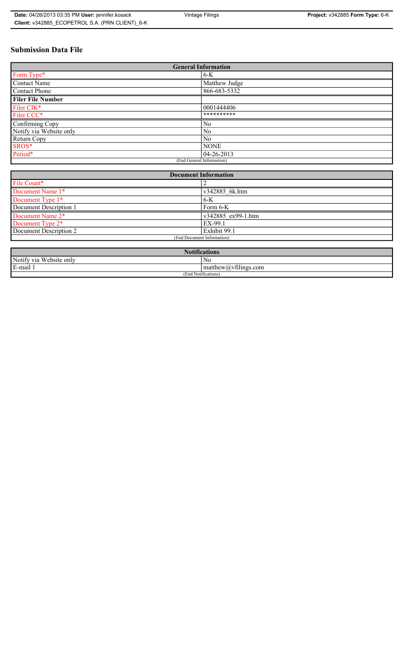# **Submission Data File**

| <b>General Information</b> |                |  |
|----------------------------|----------------|--|
| Form Type*                 | 6-K            |  |
| <b>Contact Name</b>        | Matthew Judge  |  |
| Contact Phone              | 866-683-5332   |  |
| <b>Filer File Number</b>   |                |  |
| Filer CIK*                 | 0001444406     |  |
| Filer CCC*                 | **********     |  |
| Confirming Copy            | N <sub>0</sub> |  |
| Notify via Website only    | No             |  |
| Return Copy                | No             |  |
| SROS*                      | <b>NONE</b>    |  |
| Period*                    | 04-26-2013     |  |
| (End General Information)  |                |  |

| <b>Document Information</b>  |                    |  |
|------------------------------|--------------------|--|
| File Count*                  |                    |  |
| Document Name 1*             | v342885 6k.htm     |  |
| Document Type 1*             | $6-K$              |  |
| Document Description 1       | Form $6-K$         |  |
| Document Name 2*             | v342885 ex99-1.htm |  |
| Document Type 2 <sup>*</sup> | EX-99.1            |  |
| Document Description 2       | Exhibit 99.1       |  |
| (End Document Information)   |                    |  |
|                              |                    |  |

| <b>Notifications</b>    |                                             |  |
|-------------------------|---------------------------------------------|--|
| Notify via Website only | No                                          |  |
| E-mail                  | $-$<br>$ $ matthew( <i>a</i> ) vtilings.com |  |
| (End Notifications)     |                                             |  |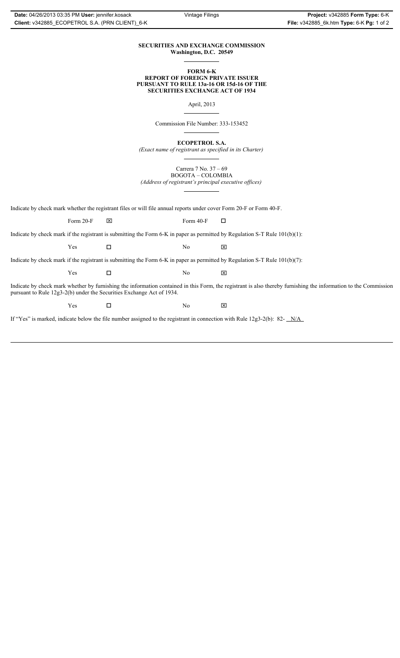### **SECURITIES AND EXCHANGE COMMISSION Washington, D.C. 20549**

### **FORM 6-K REPORT OF FOREIGN PRIVATE ISSUER PURSUANT TO RULE 13a-16 OR 15d-16 OF THE SECURITIES EXCHANGE ACT OF 1934**

April, 2013

Commission File Number: 333-153452

**ECOPETROL S.A.**

*(Exact name of registrant as specified in its Charter)*

Carrera 7 No. 37 – 69 BOGOTA – COLOMBIA

*(Address of registrant's principal executive offices)*

Indicate by check mark whether the registrant files or will file annual reports under cover Form 20-F or Form 40-F.

Form 20-F  $\boxtimes$  Form 40-F  $\Box$ 

Indicate by check mark if the registrant is submitting the Form 6-K in paper as permitted by Regulation S-T Rule 101(b)(1):

 $Yes$   $\Box$   $No$   $X$ 

Indicate by check mark if the registrant is submitting the Form 6-K in paper as permitted by Regulation S-T Rule 101(b)(7):

 $Yes$   $\Box$   $No$   $X$ 

Indicate by check mark whether by furnishing the information contained in this Form, the registrant is also thereby furnishing the information to the Commission pursuant to Rule 12g3-2(b) under the Securities Exchange Act of 1934.

 $Yes$   $\square$ 

If "Yes" is marked, indicate below the file number assigned to the registrant in connection with Rule 12g3-2(b): 82- N/A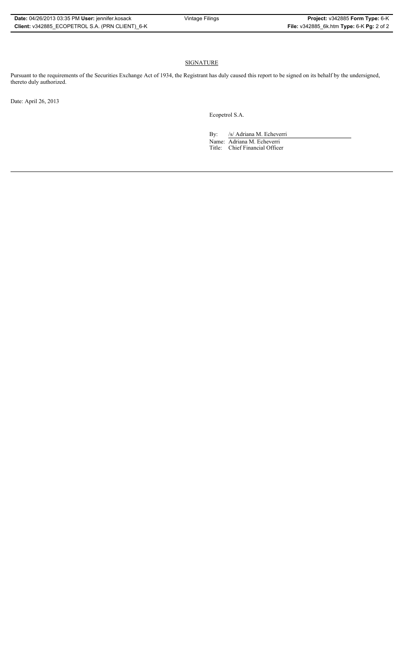## SIGNATURE

Pursuant to the requirements of the Securities Exchange Act of 1934, the Registrant has duly caused this report to be signed on its behalf by the undersigned, thereto duly authorized.

Date: April 26, 2013

Ecopetrol S.A.

By: /s/ Adriana M. Echeverri Name: Adriana M. Echeverri Title: Chief Financial Officer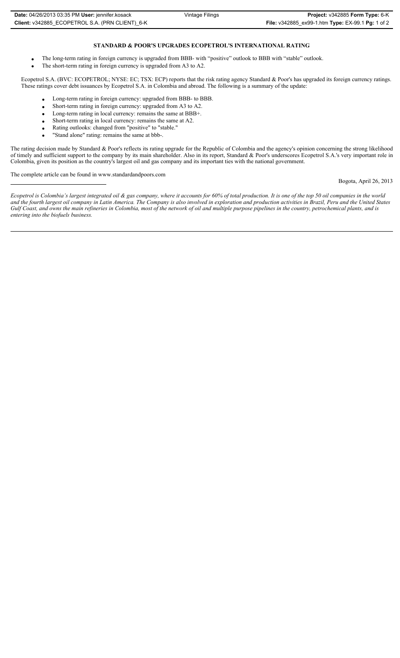### **STANDARD & POOR'S UPGRADES ECOPETROL'S INTERNATIONAL RATING**

- The long-term rating in foreign currency is upgraded from BBB- with "positive" outlook to BBB with "stable" outlook.
- The short-term rating in foreign currency is upgraded from A3 to A2.

Ecopetrol S.A. (BVC: ECOPETROL; NYSE: EC; TSX: ECP) reports that the risk rating agency Standard & Poor's has upgraded its foreign currency ratings. These ratings cover debt issuances by Ecopetrol S.A. in Colombia and abroad. The following is a summary of the update:

- Long-term rating in foreign currency: upgraded from BBB- to BBB.
- x Short-term rating in foreign currency: upgraded from A3 to A2.
- Long-term rating in local currency: remains the same at BBB+.
- Short-term rating in local currency: remains the same at A2.
- Rating outlooks: changed from "positive" to "stable."
- "Stand alone" rating: remains the same at bbb-.

The rating decision made by Standard & Poor's reflects its rating upgrade for the Republic of Colombia and the agency's opinion concerning the strong likelihood of timely and sufficient support to the company by its main shareholder. Also in its report, Standard & Poor's underscores Ecopetrol S.A.'s very important role in Colombia, given its position as the country's largest oil and gas company and its important ties with the national government.

The complete article can be found in www.standardandpoors.com

Bogota, April 26, 2013

*Ecopetrol is Colombia's largest integrated oil & gas company, where it accounts for 60% of total production. It is one of the top 50 oil companies in the world and the fourth largest oil company in Latin America. The Company is also involved in exploration and production activities in Brazil, Peru and the United States Gulf Coast, and owns the main refineries in Colombia, most of the network of oil and multiple purpose pipelines in the country, petrochemical plants, and is entering into the biofuels business.*